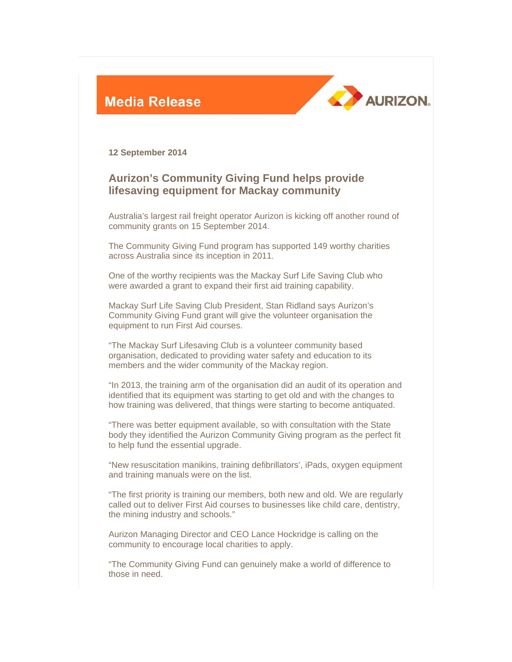



**12 September 2014** 

## **Aurizon's Community Giving Fund helps provide lifesaving equipment for Mackay community**

Australia's largest rail freight operator Aurizon is kicking off another round of community grants on 15 September 2014.

The Community Giving Fund program has supported 149 worthy charities across Australia since its inception in 2011.

One of the worthy recipients was the Mackay Surf Life Saving Club who were awarded a grant to expand their first aid training capability.

Mackay Surf Life Saving Club President, Stan Ridland says Aurizon's Community Giving Fund grant will give the volunteer organisation the equipment to run First Aid courses.

"The Mackay Surf Lifesaving Club is a volunteer community based organisation, dedicated to providing water safety and education to its members and the wider community of the Mackay region.

"In 2013, the training arm of the organisation did an audit of its operation and identified that its equipment was starting to get old and with the changes to how training was delivered, that things were starting to become antiquated.

"There was better equipment available, so with consultation with the State body they identified the Aurizon Community Giving program as the perfect fit to help fund the essential upgrade.

"New resuscitation manikins, training defibrillators', iPads, oxygen equipment and training manuals were on the list.

"The first priority is training our members, both new and old. We are regularly called out to deliver First Aid courses to businesses like child care, dentistry, the mining industry and schools."

Aurizon Managing Director and CEO Lance Hockridge is calling on the community to encourage local charities to apply.

"The Community Giving Fund can genuinely make a world of difference to those in need.